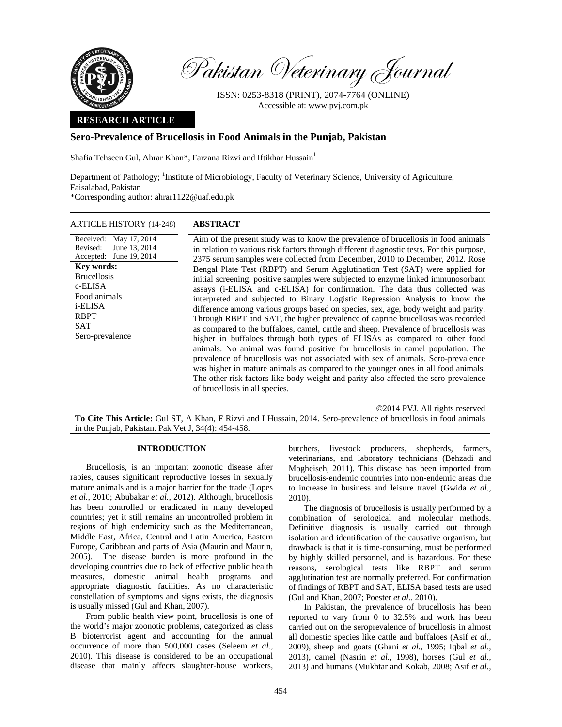

Revised:

**Key words:**  Brucellosis c-ELISA Food animals i-ELISA RBPT SAT

Sero-prevalence

Pakistan Veterinary Journal

ISSN: 0253-8318 (PRINT), 2074-7764 (ONLINE) Accessible at: www.pvj.com.pk

## **RESEARCH ARTICLE**

## **Sero-Prevalence of Brucellosis in Food Animals in the Punjab, Pakistan**

Shafia Tehseen Gul, Ahrar Khan\*, Farzana Rizvi and Iftikhar Hussain<sup>1</sup>

Department of Pathology; <sup>1</sup>Institute of Microbiology, Faculty of Veterinary Science, University of Agriculture, Faisalabad, Pakistan \*Corresponding author: ahrar1122@uaf.edu.pk

ARTICLE HISTORY (14-248) **ABSTRACT** 

Received: May 17, 2014 Accepted: June 19, 2014 June 13, 2014 Aim of the present study was to know the prevalence of brucellosis in food animals in relation to various risk factors through different diagnostic tests. For this purpose, 2375 serum samples were collected from December, 2010 to December, 2012. Rose Bengal Plate Test (RBPT) and Serum Agglutination Test (SAT) were applied for initial screening, positive samples were subjected to enzyme linked immunosorbant assays (i-ELISA and c-ELISA) for confirmation. The data thus collected was interpreted and subjected to Binary Logistic Regression Analysis to know the difference among various groups based on species, sex, age, body weight and parity. Through RBPT and SAT, the higher prevalence of caprine brucellosis was recorded as compared to the buffaloes, camel, cattle and sheep. Prevalence of brucellosis was higher in buffaloes through both types of ELISAs as compared to other food animals. No animal was found positive for brucellosis in camel population. The prevalence of brucellosis was not associated with sex of animals. Sero-prevalence was higher in mature animals as compared to the younger ones in all food animals. The other risk factors like body weight and parity also affected the sero-prevalence of brucellosis in all species.

©2014 PVJ. All rights reserved

**To Cite This Article:** Gul ST, A Khan, F Rizvi and I Hussain, 2014. Sero-prevalence of brucellosis in food animals in the Punjab, Pakistan. Pak Vet J, 34(4): 454-458.

## **INTRODUCTION**

Brucellosis, is an important zoonotic disease after rabies, causes significant reproductive losses in sexually mature animals and is a major barrier for the trade (Lopes *et al.,* 2010; Abubakar *et al.,* 2012). Although, brucellosis has been controlled or eradicated in many developed countries; yet it still remains an uncontrolled problem in regions of high endemicity such as the Mediterranean, Middle East, Africa, Central and Latin America, Eastern Europe, Caribbean and parts of Asia (Maurin and Maurin, 2005). The disease burden is more profound in the developing countries due to lack of effective public health measures, domestic animal health programs and appropriate diagnostic facilities. As no characteristic constellation of symptoms and signs exists, the diagnosis is usually missed (Gul and Khan, 2007).

From public health view point, brucellosis is one of the world's major zoonotic problems, categorized as class B bioterrorist agent and accounting for the annual occurrence of more than 500,000 cases (Seleem *et al.,* 2010). This disease is considered to be an occupational disease that mainly affects slaughter-house workers,

butchers, livestock producers, shepherds, farmers, veterinarians, and laboratory technicians (Behzadi and Mogheiseh, 2011). This disease has been imported from brucellosis-endemic countries into non-endemic areas due to increase in business and leisure travel (Gwida *et al.,* 2010).

The diagnosis of brucellosis is usually performed by a combination of serological and molecular methods. Definitive diagnosis is usually carried out through isolation and identification of the causative organism, but drawback is that it is time-consuming, must be performed by highly skilled personnel, and is hazardous. For these reasons, serological tests like RBPT and serum agglutination test are normally preferred. For confirmation of findings of RBPT and SAT, ELISA based tests are used (Gul and Khan, 2007; Poester *et al.,* 2010).

In Pakistan, the prevalence of brucellosis has been reported to vary from 0 to 32.5% and work has been carried out on the seroprevalence of brucellosis in almost all domestic species like cattle and buffaloes (Asif *et al.,* 2009), sheep and goats (Ghani *et al.,* 1995; Iqbal *et al*., 2013), camel (Nasrin *et al.,* 1998), horses (Gul *et al.,* 2013) and humans (Mukhtar and Kokab, 2008; Asif *et al.,*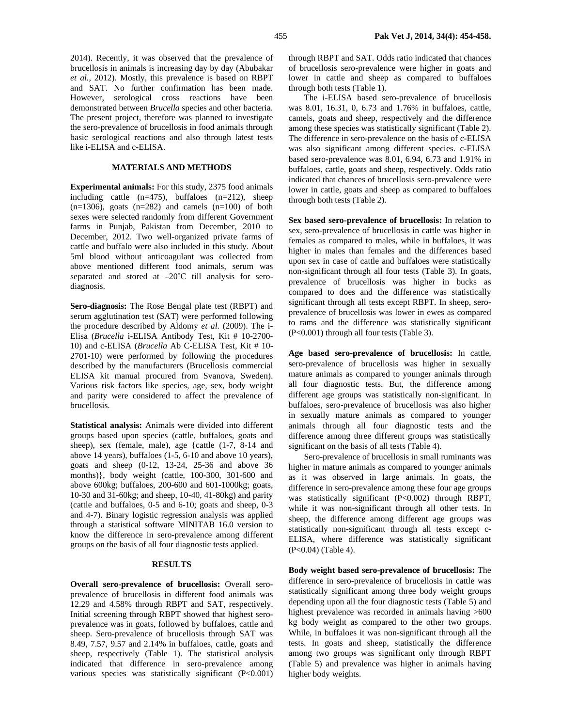2014). Recently, it was observed that the prevalence of brucellosis in animals is increasing day by day (Abubakar *et al.,* 2012). Mostly, this prevalence is based on RBPT and SAT. No further confirmation has been made. However, serological cross reactions have been demonstrated between *Brucella* species and other bacteria. The present project, therefore was planned to investigate the sero-prevalence of brucellosis in food animals through basic serological reactions and also through latest tests like i-ELISA and c-ELISA.

# **MATERIALS AND METHODS**

**Experimental animals:** For this study, 2375 food animals including cattle  $(n=475)$ , buffaloes  $(n=212)$ , sheep  $(n=1306)$ , goats  $(n=282)$  and camels  $(n=100)$  of both sexes were selected randomly from different Government farms in Punjab, Pakistan from December, 2010 to December, 2012. Two well-organized private farms of cattle and buffalo were also included in this study. About 5ml blood without anticoagulant was collected from above mentioned different food animals, serum was separated and stored at  $-20^{\circ}$ C till analysis for serodiagnosis.

**Sero-diagnosis:** The Rose Bengal plate test (RBPT) and serum agglutination test (SAT) were performed following the procedure described by Aldomy *et al.* (2009). The i-Elisa (*Brucella* i-ELISA Antibody Test, Kit # 10-2700- 10) and c-ELISA (*Brucella* Ab C-ELISA Test, Kit # 10- 2701-10) were performed by following the procedures described by the manufacturers (Brucellosis commercial ELISA kit manual procured from Svanova, Sweden). Various risk factors like species, age, sex, body weight and parity were considered to affect the prevalence of brucellosis.

**Statistical analysis:** Animals were divided into different groups based upon species (cattle, buffaloes, goats and sheep), sex (female, male), age {cattle (1-7, 8-14 and above 14 years), buffaloes (1-5, 6-10 and above 10 years), goats and sheep (0-12, 13-24, 25-36 and above 36 months)}, body weight (cattle, 100-300, 301-600 and above 600kg; buffaloes, 200-600 and 601-1000kg; goats, 10-30 and 31-60kg; and sheep, 10-40, 41-80kg) and parity (cattle and buffaloes, 0-5 and 6-10; goats and sheep, 0-3 and 4-7). Binary logistic regression analysis was applied through a statistical software MINITAB 16.0 version to know the difference in sero-prevalence among different groups on the basis of all four diagnostic tests applied.

### **RESULTS**

**Overall sero-prevalence of brucellosis:** Overall seroprevalence of brucellosis in different food animals was 12.29 and 4.58% through RBPT and SAT, respectively. Initial screening through RBPT showed that highest seroprevalence was in goats, followed by buffaloes, cattle and sheep. Sero-prevalence of brucellosis through SAT was 8.49, 7.57, 9.57 and 2.14% in buffaloes, cattle, goats and sheep, respectively (Table 1). The statistical analysis indicated that difference in sero-prevalence among various species was statistically significant (P<0.001)

through RBPT and SAT. Odds ratio indicated that chances of brucellosis sero-prevalence were higher in goats and lower in cattle and sheep as compared to buffaloes through both tests (Table 1).

The i-ELISA based sero-prevalence of brucellosis was 8.01, 16.31, 0, 6.73 and 1.76% in buffaloes, cattle, camels, goats and sheep, respectively and the difference among these species was statistically significant (Table 2). The difference in sero-prevalence on the basis of c-ELISA was also significant among different species. c-ELISA based sero-prevalence was 8.01, 6.94, 6.73 and 1.91% in buffaloes, cattle, goats and sheep, respectively. Odds ratio indicated that chances of brucellosis sero-prevalence were lower in cattle, goats and sheep as compared to buffaloes through both tests (Table 2).

**Sex based sero-prevalence of brucellosis:** In relation to sex, sero-prevalence of brucellosis in cattle was higher in females as compared to males, while in buffaloes, it was higher in males than females and the differences based upon sex in case of cattle and buffaloes were statistically non-significant through all four tests (Table 3). In goats, prevalence of brucellosis was higher in bucks as compared to does and the difference was statistically significant through all tests except RBPT. In sheep, seroprevalence of brucellosis was lower in ewes as compared to rams and the difference was statistically significant (P<0.001) through all four tests (Table 3).

**Age based sero-prevalence of brucellosis:** In cattle, **s**ero-prevalence of brucellosis was higher in sexually mature animals as compared to younger animals through all four diagnostic tests. But, the difference among different age groups was statistically non-significant. In buffaloes, sero-prevalence of brucellosis was also higher in sexually mature animals as compared to younger animals through all four diagnostic tests and the difference among three different groups was statistically significant on the basis of all tests (Table 4).

Sero-prevalence of brucellosis in small ruminants was higher in mature animals as compared to younger animals as it was observed in large animals. In goats, the difference in sero-prevalence among these four age groups was statistically significant (P<0.002) through RBPT, while it was non-significant through all other tests. In sheep, the difference among different age groups was statistically non-significant through all tests except c-ELISA, where difference was statistically significant (P<0.04) (Table 4).

**Body weight based sero-prevalence of brucellosis:** The difference in sero-prevalence of brucellosis in cattle was statistically significant among three body weight groups depending upon all the four diagnostic tests (Table 5) and highest prevalence was recorded in animals having >600 kg body weight as compared to the other two groups. While, in buffaloes it was non-significant through all the tests. In goats and sheep, statistically the difference among two groups was significant only through RBPT (Table 5) and prevalence was higher in animals having higher body weights.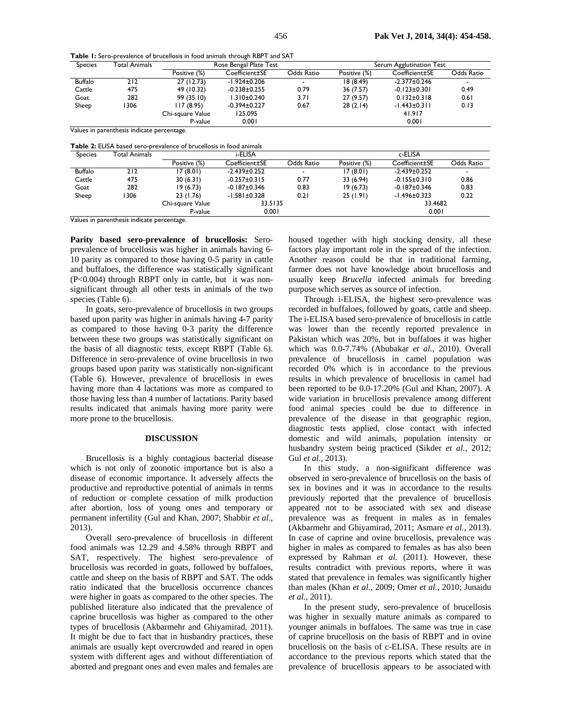**Table 1:** Sero-prevalence of brucellosis in food animals through RBPT and SAT

| <b>Species</b>                             | Total Animals                                                              | Rose Bengal Plate Test |                    |            | Serum Agglutination Test |                    |            |  |
|--------------------------------------------|----------------------------------------------------------------------------|------------------------|--------------------|------------|--------------------------|--------------------|------------|--|
|                                            |                                                                            | Positive (%)           | Coefficient±SE     | Odds Ratio | Positive (%)             | Coefficient±SE     | Odds Ratio |  |
| <b>Buffalo</b>                             | 212                                                                        | 27 (12.73)             | $-1.924 \pm 0.206$ |            | 18(8.49)                 | $-2.377 \pm 0.246$ |            |  |
| Cattle                                     | 475                                                                        | 49 (10.32)             | $-0.238 \pm 0.255$ | 0.79       | 36 (7.57)                | $-0.123 \pm 0.301$ | 0.49       |  |
| Goat                                       | 282                                                                        | 99 (35.10)             | $1.310 \pm 0.240$  | 3.71       | 27(9.57)                 | $0.132 \pm 0.318$  | 0.61       |  |
| Sheep                                      | 306                                                                        | 117 (8.95)             | $-0.394\pm0.227$   | 0.67       | 28(2.14)                 | $-1.443 \pm 0.311$ | 0.13       |  |
|                                            |                                                                            | Chi-square Value       | 125.095            |            |                          | 41.917             |            |  |
|                                            |                                                                            | P-value                | 0.001              |            |                          | 0.001              |            |  |
| Values in parenthesis indicate percentage. |                                                                            |                        |                    |            |                          |                    |            |  |
|                                            | <b>Table 2:</b> ELISA based sero-prevalence of brucellosis in food animals |                        |                    |            |                          |                    |            |  |

| י שטוט ביט וויונועט ווי טעטנים אין פונימונונים טו טו טניםוטטוט ווי וטטט מווווועוט |               |                  |                    |                          |              |                           |            |  |
|-----------------------------------------------------------------------------------|---------------|------------------|--------------------|--------------------------|--------------|---------------------------|------------|--|
| <b>Species</b>                                                                    | Total Animals | i-ELISA          |                    |                          | c-ELISA      |                           |            |  |
|                                                                                   |               | Positive (%)     | Coefficient±SE     | Odds Ratio               | Positive (%) | Coefficient <sub>SE</sub> | Odds Ratio |  |
| <b>Buffalo</b>                                                                    | 212           | 17 (8.01)        | $-2.439 \pm 0.252$ | $\overline{\phantom{0}}$ | 17(8.01)     | $-2.439 \pm 0.252$        |            |  |
| Cattle                                                                            | 475           | 30(6.31)         | $-0.257 \pm 0.315$ | 0.77                     | 33 (6.94)    | $-0.155 \pm 0.310$        | 0.86       |  |
| Goat                                                                              | 282           | 19(6.73)         | $-0.187 \pm 0.346$ | 0.83                     | 19(6.73)     | $-0.187 \pm 0.346$        | 0.83       |  |
| Sheep                                                                             | 1306          | 23(1.76)         | $-1.581 \pm 0.328$ | 0.21                     | 25(1.91)     | -1.496±0.323              | 0.22       |  |
|                                                                                   |               | Chi-square Value | 33.5135            |                          |              | 33.4682                   |            |  |
|                                                                                   |               | P-value          | 0.001              |                          |              | 0.001                     |            |  |

Values in parenthesis indicate percentage.

**Parity based sero-prevalence of brucellosis:** Seroprevalence of brucellosis was higher in animals having 6- 10 parity as compared to those having 0-5 parity in cattle and buffaloes, the difference was statistically significant (P<0.004) through RBPT only in cattle, but it was nonsignificant through all other tests in animals of the two species (Table 6).

In goats, sero-prevalence of brucellosis in two groups based upon parity was higher in animals having 4-7 parity as compared to those having 0-3 parity the difference between these two groups was statistically significant on the basis of all diagnostic tests, except RBPT (Table 6). Difference in sero-prevalence of ovine brucellosis in two groups based upon parity was statistically non-significant (Table 6). However, prevalence of brucellosis in ewes having more than 4 lactations was more as compared to those having less than 4 number of lactations. Parity based results indicated that animals having more parity were more prone to the brucellosis.

### **DISCUSSION**

Brucellosis is a highly contagious bacterial disease which is not only of zoonotic importance but is also a disease of economic importance. It adversely affects the productive and reproductive potential of animals in terms of reduction or complete cessation of milk production after abortion, loss of young ones and temporary or permanent infertility (Gul and Khan, 2007; Shabbir *et al*., 2013).

Overall sero-prevalence of brucellosis in different food animals was 12.29 and 4.58% through RBPT and SAT, respectively. The highest sero-prevalence of brucellosis was recorded in goats, followed by buffaloes, cattle and sheep on the basis of RBPT and SAT. The odds ratio indicated that the brucellosis occurrence chances were higher in goats as compared to the other species. The published literature also indicated that the prevalence of caprine brucellosis was higher as compared to the other types of brucellosis (Akbarmehr and Ghiyamirad, 2011). It might be due to fact that in husbandry practices, these animals are usually kept overcrowded and reared in open system with different ages and without differentiation of aborted and pregnant ones and even males and females are

housed together with high stocking density, all these factors play important role in the spread of the infection. Another reason could be that in traditional farming, farmer does not have knowledge about brucellosis and usually keep *Brucella* infected animals for breeding purpose which serves as source of infection.

Through i-ELISA, the highest sero-prevalence was recorded in buffaloes, followed by goats, cattle and sheep. The i-ELISA based sero-prevalence of brucellosis in cattle was lower than the recently reported prevalence in Pakistan which was 20%, but in buffaloes it was higher which was 0.0-7.74% (Abubakar *et al.,* 2010). Overall prevalence of brucellosis in camel population was recorded 0% which is in accordance to the previous results in which prevalence of brucellosis in camel had been reported to be 0.0-17.20% (Gul and Khan, 2007). A wide variation in brucellosis prevalence among different food animal species could be due to difference in prevalence of the disease in that geographic region, diagnostic tests applied, close contact with infected domestic and wild animals, population intensity or husbandry system being practiced (Sikder *et al.,* 2012; Gul *et al.,* 2013).

In this study, a non-significant difference was observed in sero-prevalence of brucellosis on the basis of sex in bovines and it was in accordance to the results previously reported that the prevalence of brucellosis appeared not to be associated with sex and disease prevalence was as frequent in males as in females (Akbarmehr and Ghiyamirad, 2011; Asmare *et al.,* 2013). In case of caprine and ovine brucellosis, prevalence was higher in males as compared to females as has also been expressed by Rahman *et al.* (2011). However, these results contradict with previous reports, where it was stated that prevalence in females was significantly higher than males (Khan *et al.,* 2009; Omer *et al.,* 2010; Junaidu *et al.,* 2011).

In the present study, sero-prevalence of brucellosis was higher in sexually mature animals as compared to younger animals in buffaloes. The same was true in case of caprine brucellosis on the basis of RBPT and in ovine brucellosis on the basis of c-ELISA. These results are in accordance to the previous reports which stated that the prevalence of brucellosis appears to be associated with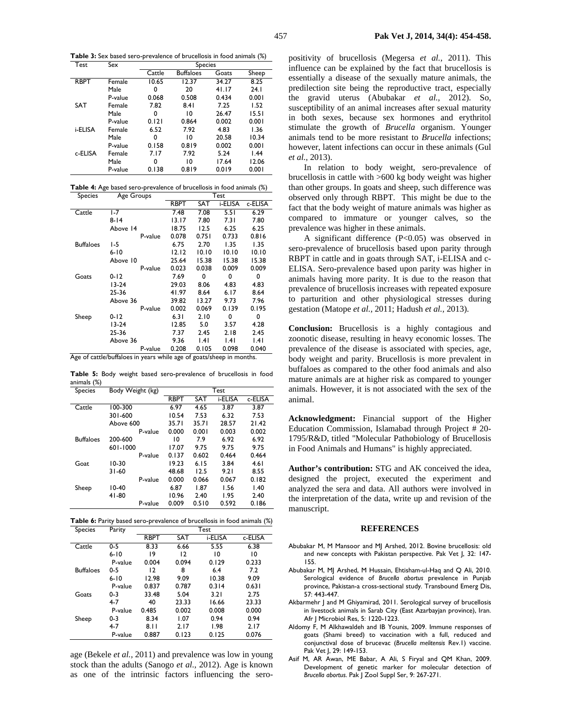**Table 3:** Sex based sero-prevalence of brucellosis in food animals (%)

| Test        | Sex     | <b>Species</b> |                  |       |       |  |
|-------------|---------|----------------|------------------|-------|-------|--|
|             |         | Cattle         | <b>Buffaloes</b> | Goats | Sheep |  |
| <b>RBPT</b> | Female  | 10.65          | 12.37            | 34.27 | 8.25  |  |
|             | Male    | 0              | 20               | 41.17 | 24.1  |  |
|             | P-value | 0.068          | 0.508            | 0.434 | 0.001 |  |
| <b>SAT</b>  | Female  | 7.82           | 8.41             | 7.25  | 1.52  |  |
|             | Male    | 0              | 10               | 26.47 | 15.51 |  |
|             | P-value | 0.121          | 0.864            | 0.002 | 0.001 |  |
| i-ELISA     | Female  | 6.52           | 7.92             | 4.83  | 1.36  |  |
|             | Male    | 0              | 10               | 20.58 | 10.34 |  |
|             | P-value | 0.158          | 0.819            | 0.002 | 0.001 |  |
| c-ELISA     | Female  | 7.17           | 7.92             | 5.24  | 1.44  |  |
|             | Male    | 0              | 10               | 17.64 | 12.06 |  |
|             | P-value | 0.138          | 0.819            | 0.019 | 0.001 |  |

|         |                    | <b>Table 4:</b> Age based sero-prevalence of brucellosis in food animals (%) |
|---------|--------------------|------------------------------------------------------------------------------|
| Species | $\Delta$ ge Groups | Tast                                                                         |

| oheries          | <b>ALCO OF A</b> | ט כא        |       |         |         |
|------------------|------------------|-------------|-------|---------|---------|
|                  |                  | <b>RBPT</b> | SAT   | i-ELISA | c-ELISA |
| Cattle           | $1-7$            | 7.48        | 7.08  | 5.51    | 6.29    |
|                  | $8 - 14$         | 13.17       | 7.80  | 7.31    | 7.80    |
|                  | Above 14         | 18.75       | 12.5  | 6.25    | 6.25    |
|                  | P-value          | 0.078       | 0.751 | 0.733   | 0.816   |
| <b>Buffaloes</b> | 1-5              | 6.75        | 2.70  | 1.35    | 1.35    |
|                  | $6 - 10$         | 12.12       | 10.10 | 10.10   | 10.10   |
|                  | Above 10         | 25.64       | 15.38 | 15.38   | 15.38   |
|                  | P-value          | 0.023       | 0.038 | 0.009   | 0.009   |
| Goats            | $0 - 12$         | 7.69        | 0     | 0       | 0       |
|                  | 13-24            | 29.03       | 8.06  | 4.83    | 4.83    |
|                  | 25-36            | 41.97       | 8.64  | 6.17    | 8.64    |
|                  | Above 36         | 39.82       | 13.27 | 9.73    | 7.96    |
|                  | P-value          | 0.002       | 0.069 | 0.139   | 0.195   |
| Sheep            | $0 - 12$         | 6.31        | 2.10  | 0       | 0       |
|                  | 13-24            | 12.85       | 5.0   | 3.57    | 4.28    |
|                  | 25-36            | 7.37        | 2.45  | 2.18    | 2.45    |
|                  | Above 36         | 9.36        | .4    | l.41    | .4      |
|                  | P-value          | 0.208       | 0.105 | 0.098   | 0.040   |

Age of cattle/buffaloes in years while age of goats/sheep in months.

**Table 5:** Body weight based sero-prevalence of brucellosis in food animals (%)

| <b>Species</b>   | Body Weight (kg) | Test        |       |         |         |
|------------------|------------------|-------------|-------|---------|---------|
|                  |                  | <b>RBPT</b> | SAT   | i-ELISA | c-ELISA |
| Cattle           | 100-300          | 6.97        | 4.65  | 3.87    | 3.87    |
|                  | 301-600          | 10.54       | 7.53  | 6.32    | 7.53    |
|                  | Above 600        | 35.71       | 35.71 | 28.57   | 21.42   |
|                  | P-value          | 0.000       | 0.001 | 0.003   | 0.002   |
| <b>Buffaloes</b> | 200-600          | 10          | 7.9   | 6.92    | 6.92    |
|                  | 601-1000         | 17.07       | 9.75  | 9.75    | 9.75    |
|                  | P-value          | 0.137       | 0.602 | 0.464   | 0.464   |
| Goat             | $10-30$          | 19.23       | 6.15  | 3.84    | 4.61    |
|                  | $31 - 60$        | 48.68       | 12.5  | 9.21    | 8.55    |
|                  | P-value          | 0.000       | 0.066 | 0.067   | 0.182   |
| Sheep            | $10-40$          | 6.87        | 1.87  | 1.56    | 1.40    |
|                  | 41-80            | 10.96       | 2.40  | 1.95    | 2.40    |
|                  | P-value          | 0.009       | 0.510 | 0.592   | 0.186   |

**Table 6:** Parity based sero-prevalence of brucellosis in food animals (%)

| <b>Species</b>   | Parity   | Test        |            |         |         |
|------------------|----------|-------------|------------|---------|---------|
|                  |          | <b>RBPT</b> | <b>SAT</b> | i-ELISA | c-ELISA |
| Cattle           | 0-5      | 8.33        | 6.66       | 5.55    | 6.38    |
|                  | $6 - 10$ | 19          | 12         | 10      | 10      |
|                  | P-value  | 0.004       | 0.094      | 0.129   | 0.233   |
| <b>Buffaloes</b> | $0 - 5$  | 12          | 8          | 6.4     | 7.2     |
|                  | $6 - 10$ | 12.98       | 9.09       | 10.38   | 9.09    |
|                  | P-value  | 0.837       | 0.787      | 0.314   | 0.631   |
| Goats            | $0 - 3$  | 33.48       | 5.04       | 3.21    | 2.75    |
|                  | 4-7      | 40          | 23.33      | 16.66   | 23.33   |
|                  | P-value  | 0.485       | 0.002      | 0.008   | 0.000   |
| Sheep            | $0 - 3$  | 8.34        | 1.07       | 0.94    | 0.94    |
|                  | 4-7      | 8.11        | 2.17       | 1.98    | 2.17    |
|                  | P-value  | 0.887       | 0.123      | 0.125   | 0.076   |

age (Bekele *et al.,* 2011) and prevalence was low in young stock than the adults (Sanogo *et al.,* 2012). Age is known as one of the intrinsic factors influencing the seropositivity of brucellosis (Megersa *et al.,* 2011). This influence can be explained by the fact that brucellosis is essentially a disease of the sexually mature animals, the predilection site being the reproductive tract, especially the gravid uterus (Abubakar *et al.,* 2012). So, susceptibility of an animal increases after sexual maturity in both sexes, because sex hormones and erythritol stimulate the growth of *Brucella* organism. Younger animals tend to be more resistant to *Brucella* infections; however, latent infections can occur in these animals (Gul *et al.,* 2013).

In relation to body weight, sero-prevalence of brucellosis in cattle with >600 kg body weight was higher than other groups. In goats and sheep, such difference was observed only through RBPT. This might be due to the fact that the body weight of mature animals was higher as compared to immature or younger calves, so the prevalence was higher in these animals.

A significant difference (P<0.05) was observed in sero-prevalence of brucellosis based upon parity through RBPT in cattle and in goats through SAT, i-ELISA and c-ELISA. Sero-prevalence based upon parity was higher in animals having more parity. It is due to the reason that prevalence of brucellosis increases with repeated exposure to parturition and other physiological stresses during gestation (Matope *et al.,* 2011; Hadush *et al.,* 2013).

**Conclusion:** Brucellosis is a highly contagious and zoonotic disease, resulting in heavy economic losses. The prevalence of the disease is associated with species, age, body weight and parity. Brucellosis is more prevalent in buffaloes as compared to the other food animals and also mature animals are at higher risk as compared to younger animals. However, it is not associated with the sex of the animal.

**Acknowledgment:** Financial support of the Higher Education Commission, Islamabad through Project # 20- 1795/R&D, titled "Molecular Pathobiology of Brucellosis in Food Animals and Humans" is highly appreciated.

**Author's contribution:** STG and AK conceived the idea, designed the project, executed the experiment and analyzed the sera and data. All authors were involved in the interpretation of the data, write up and revision of the manuscript.

### **REFERENCES**

- Abubakar M, M Mansoor and MJ Arshed, 2012. Bovine brucellosis: old and new concepts with Pakistan perspective. Pak Vet J, 32: 147- 155.
- Abubakar M, MJ Arshed, M Hussain, Ehtisham-ul-Haq and Q Ali, 2010. Serological evidence of *Brucella abortus* prevalence in Punjab province, Pakistan-a cross-sectional study. Transbound Emerg Dis, 57: 443-447.
- Akbarmehr J and M Ghiyamirad, 2011. Serological survey of brucellosis in livestock animals in Sarab City (East Azarbayjan province), Iran. Afr J Microbiol Res, 5: 1220-1223.
- Aldomy F, M Alkhawaldeh and IB Younis, 2009. Immune responses of goats (Shami breed) to vaccination with a full, reduced and conjunctival dose of brucevac (*Brucella melitensis* Rev.1) vaccine. Pak Vet J, 29: 149-153.
- Asif M, AR Awan, ME Babar, A Ali, S Firyal and QM Khan, 2009. Development of genetic marker for molecular detection of *Brucella abortus*. Pak J Zool Suppl Ser, 9: 267-271.